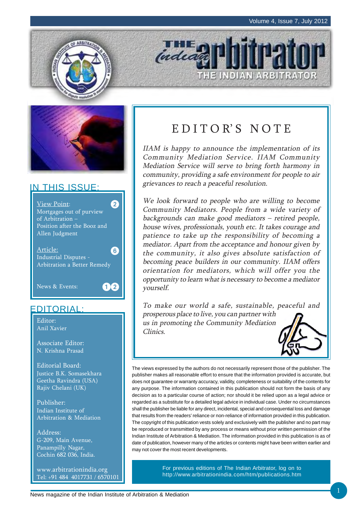



### IN THIS ISSUE:



### EDITORIAL:

Editor: Anil Xavier

Associate Editor: N. Krishna Prasad

Editorial Board: Justice B.K. Somasekhara Geetha Ravindra (USA) Rajiv Chelani (UK)

Publisher: Indian Institute of Arbitration & Mediation

Address: G-209, Main Avenue, Panampilly Nagar, Cochin 682 036, India.

www.arbitrationindia.org Tel: +91 484 4017731 / 6570101

# EDITOR'S NOTE

THE INDIAN ARBITRATOR

**THE O** 

IIAM is happy to announce the implementation of its Community Mediation Service. IIAM Community Mediation Service will serve to bring forth harmony in community, providing a safe environment for people to air grievances to reach a peaceful resolution.

We look forward to people who are willing to become Community Mediators. People from a wide variety of backgrounds can make good mediators – retired people, house wives, professionals, youth etc. It takes courage and patience to take up the responsibility of becoming a mediator. Apart from the acceptance and honour given by the community, it also gives absolute satisfaction of becoming peace builders in our community. IIAM offers orientation for mediators, which will offer you the opportunity to learn what is necessary to become a mediator yourself.

To make our world a safe, sustainable, peaceful and prosperous place to live, you can partner with us in promoting the Community Mediation Clinics.



The views expressed by the authors do not necessarily represent those of the publisher. The publisher makes all reasonable effort to ensure that the information provided is accurate, but does not guarantee or warranty accuracy, validity, completeness or suitability of the contents for any purpose. The information contained in this publication should not form the basis of any decision as to a particular course of action; nor should it be relied upon as a legal advice or regarded as a substitute for a detailed legal advice in individual case. Under no circumstances shall the publisher be liable for any direct, incidental, special and consequential loss and damage that results from the readers' reliance or non-reliance of information provided in this publication. The copyright of this publication vests solely and exclusively with the publisher and no part may be reproduced or transmitted by any process or means without prior written permission of the Indian Institute of Arbitration & Mediation. The information provided in this publication is as of date of publication, however many of the articles or contents might have been written earlier and may not cover the most recent developments.

> For previous editions of The Indian Arbitrator, log on to http://www.arbitrationindia.com/htm/publications.htm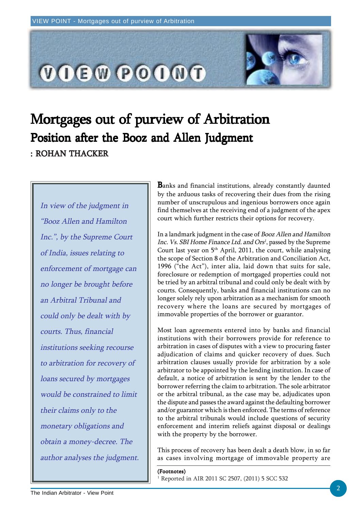

# Mortgages out of purview of Arbitration : ROHAN THACKER Position after the Booz and Allen Judgment

In view of the judgment in "Booz Allen and Hamilton Inc.", by the Supreme Court of India, issues relating to enforcement of mortgage can no longer be brought before an Arbitral Tribunal and could only be dealt with by courts. Thus, financial institutions seeking recourse to arbitration for recovery of loans secured by mortgages would be constrained to limit their claims only to the monetary obligations and obtain a money-decree. The author analyses the judgment. Banks and financial institutions, already constantly daunted by the arduous tasks of recovering their dues from the rising number of unscrupulous and ingenious borrowers once again find themselves at the receiving end of a judgment of the apex court which further restricts their options for recovery.

In a landmark judgment in the case of Booz Allen and Hamilton Inc. Vs. SBI Home Finance Ltd. and Ors<sup>1</sup>, passed by the Supreme Court last year on  $5<sup>th</sup>$  April, 2011, the court, while analysing the scope of Section 8 of the Arbitration and Conciliation Act, 1996 ("the Act"), inter alia, laid down that suits for sale, foreclosure or redemption of mortgaged properties could not be tried by an arbitral tribunal and could only be dealt with by courts. Consequently, banks and financial institutions can no longer solely rely upon arbitration as a mechanism for smooth recovery where the loans are secured by mortgages of immovable properties of the borrower or guarantor.

Most loan agreements entered into by banks and financial institutions with their borrowers provide for reference to arbitration in cases of disputes with a view to procuring faster adjudication of claims and quicker recovery of dues. Such arbitration clauses usually provide for arbitration by a sole arbitrator to be appointed by the lending institution. In case of default, a notice of arbitration is sent by the lender to the borrower referring the claim to arbitration. The sole arbitrator or the arbitral tribunal, as the case may be, adjudicates upon the dispute and passes the award against the defaulting borrower and/or guarantor which is then enforced. The terms of reference to the arbitral tribunals would include questions of security enforcement and interim reliefs against disposal or dealings with the property by the borrower.

This process of recovery has been dealt a death blow, in so far as cases involving mortgage of immovable property are

#### (Footnotes)

1 Reported in AIR 2011 SC 2507, (2011) 5 SCC 532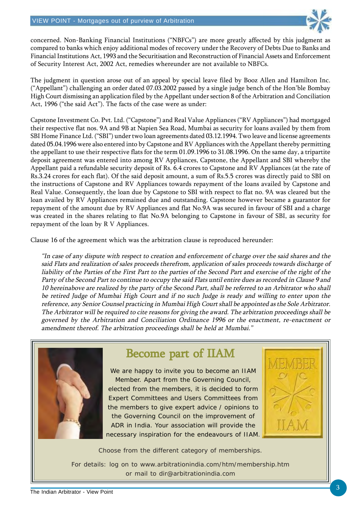

concerned. Non-Banking Financial Institutions ("NBFCs") are more greatly affected by this judgment as compared to banks which enjoy additional modes of recovery under the Recovery of Debts Due to Banks and Financial Institutions Act, 1993 and the Securitisation and Reconstruction of Financial Assets and Enforcement of Security Interest Act, 2002 Act, remedies whereunder are not available to NBFCs.

The judgment in question arose out of an appeal by special leave filed by Booz Allen and Hamilton Inc. ("Appellant") challenging an order dated 07.03.2002 passed by a single judge bench of the Hon'ble Bombay High Court dismissing an application filed by the Appellant under section 8 of the Arbitration and Conciliation Act, 1996 ("the said Act"). The facts of the case were as under:

Capstone Investment Co. Pvt. Ltd. ("Capstone") and Real Value Appliances ("RV Appliances") had mortgaged their respective flat nos. 9A and 9B at Napien Sea Road, Mumbai as security for loans availed by them from SBI Home Finance Ltd. ("SBI") under two loan agreements dated 03.12.1994. Two leave and license agreements dated 05.04.1996 were also entered into by Capstone and RV Appliances with the Appellant thereby permitting the appellant to use their respective flats for the term 01.09.1996 to 31.08.1996. On the same day, a tripartite deposit agreement was entered into among RV Appliances, Capstone, the Appellant and SBI whereby the Appellant paid a refundable security deposit of Rs. 6.4 crores to Capstone and RV Appliances (at the rate of Rs.3.24 crores for each flat). Of the said deposit amount, a sum of Rs.5.5 crores was directly paid to SBI on the instructions of Capstone and RV Appliances towards repayment of the loans availed by Capstone and Real Value. Consequently, the loan due by Capstone to SBI with respect to flat no. 9A was cleared but the loan availed by RV Appliances remained due and outstanding. Capstone however became a guarantor for repayment of the amount due by RV Appliances and flat No.9A was secured in favour of SBI and a charge was created in the shares relating to flat No.9A belonging to Capstone in favour of SBI, as security for repayment of the loan by R V Appliances.

Clause 16 of the agreement which was the arbitration clause is reproduced hereunder:

"In case of any dispute with respect to creation and enforcement of charge over the said shares and the said Flats and realization of sales proceeds therefrom, application of sales proceeds towards discharge of liability of the Parties of the First Part to the parties of the Second Part and exercise of the right of the Party of the Second Part to continue to occupy the said Flats until entire dues as recorded in Clause 9 and 10 hereinabove are realized by the party of the Second Part, shall be referred to an Arbitrator who shall be retired Judge of Mumbai High Court and if no such Judge is ready and willing to enter upon the reference, any Senior Counsel practicing in Mumbai High Court shall be appointed as the Sole Arbitrator. The Arbitrator will be required to cite reasons for giving the award. The arbitration proceedings shall be governed by the Arbitration and Conciliation Ordinance 1996 or the enactment, re-enactment or amendment thereof. The arbitration proceedings shall be held at Mumbai."



### Become part of IIAM

We are happy to invite you to become an IIAM Member. Apart from the Governing Council, elected from the members, it is decided to form Expert Committees and Users Committees from the members to give expert advice / opinions to the Governing Council on the improvement of ADR in India. Your association will provide the necessary inspiration for the endeavours of IIAM.



Choose from the different category of memberships.

For details: log on to www.arbitrationindia.com/htm/membership.htm or mail to dir@arbitrationindia.com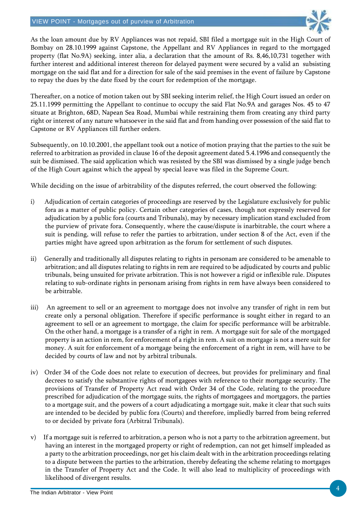

As the loan amount due by RV Appliances was not repaid, SBI filed a mortgage suit in the High Court of Bombay on 28.10.1999 against Capstone, the Appellant and RV Appliances in regard to the mortgaged property (flat No.9A) seeking, inter alia, a declaration that the amount of Rs. 8,46,10,731 together with further interest and additional interest thereon for delayed payment were secured by a valid an subsisting mortgage on the said flat and for a direction for sale of the said premises in the event of failure by Capstone to repay the dues by the date fixed by the court for redemption of the mortgage.

Thereafter, on a notice of motion taken out by SBI seeking interim relief, the High Court issued an order on 25.11.1999 permitting the Appellant to continue to occupy the said Flat No.9A and garages Nos. 45 to 47 situate at Brighton, 68D, Napean Sea Road, Mumbai while restraining them from creating any third party right or interest of any nature whatsoever in the said flat and from handing over possession of the said flat to Capstone or RV Appliances till further orders.

Subsequently, on 10.10.2001, the appellant took out a notice of motion praying that the parties to the suit be referred to arbitration as provided in clause 16 of the deposit agreement dated 5.4.1996 and consequently the suit be dismissed. The said application which was resisted by the SBI was dismissed by a single judge bench of the High Court against which the appeal by special leave was filed in the Supreme Court.

While deciding on the issue of arbitrability of the disputes referred, the court observed the following:

- i) Adjudication of certain categories of proceedings are reserved by the Legislature exclusively for public fora as a matter of public policy. Certain other categories of cases, though not expressly reserved for adjudication by a public fora (courts and Tribunals), may by necessary implication stand excluded from the purview of private fora. Consequently, where the cause/dispute is inarbitrable, the court where a suit is pending, will refuse to refer the parties to arbitration, under section 8 of the Act, even if the parties might have agreed upon arbitration as the forum for settlement of such disputes.
- ii) Generally and traditionally all disputes relating to rights in personam are considered to be amenable to arbitration; and all disputes relating to rights in rem are required to be adjudicated by courts and public tribunals, being unsuited for private arbitration. This is not however a rigid or inflexible rule. Disputes relating to sub-ordinate rights in personam arising from rights in rem have always been considered to be arbitrable.
- iii) An agreement to sell or an agreement to mortgage does not involve any transfer of right in rem but create only a personal obligation. Therefore if specific performance is sought either in regard to an agreement to sell or an agreement to mortgage, the claim for specific performance will be arbitrable. On the other hand, a mortgage is a transfer of a right in rem. A mortgage suit for sale of the mortgaged property is an action in rem, for enforcement of a right in rem. A suit on mortgage is not a mere suit for money. A suit for enforcement of a mortgage being the enforcement of a right in rem, will have to be decided by courts of law and not by arbitral tribunals.
- iv) Order 34 of the Code does not relate to execution of decrees, but provides for preliminary and final decrees to satisfy the substantive rights of mortgagees with reference to their mortgage security. The provisions of Transfer of Property Act read with Order 34 of the Code, relating to the procedure prescribed for adjudication of the mortgage suits, the rights of mortgagees and mortgagors, the parties to a mortgage suit, and the powers of a court adjudicating a mortgage suit, make it clear that such suits are intended to be decided by public fora (Courts) and therefore, impliedly barred from being referred to or decided by private fora (Arbitral Tribunals).
- v) If a mortgage suit is referred to arbitration, a person who is not a party to the arbitration agreement, but having an interest in the mortgaged property or right of redemption, can not get himself impleaded as a party to the arbitration proceedings, nor get his claim dealt with in the arbitration proceedings relating to a dispute between the parties to the arbitration, thereby defeating the scheme relating to mortgages in the Transfer of Property Act and the Code. It will also lead to multiplicity of proceedings with likelihood of divergent results.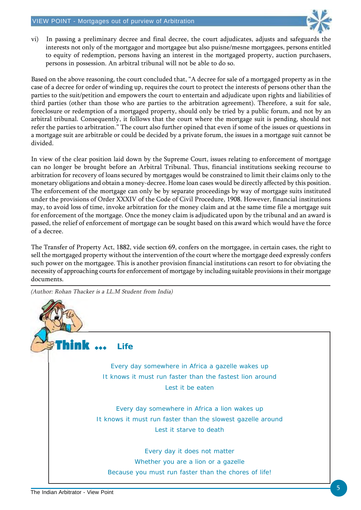

vi) In passing a preliminary decree and final decree, the court adjudicates, adjusts and safeguards the interests not only of the mortgagor and mortgagee but also puisne/mesne mortgagees, persons entitled to equity of redemption, persons having an interest in the mortgaged property, auction purchasers, persons in possession. An arbitral tribunal will not be able to do so.

Based on the above reasoning, the court concluded that, "A decree for sale of a mortgaged property as in the case of a decree for order of winding up, requires the court to protect the interests of persons other than the parties to the suit/petition and empowers the court to entertain and adjudicate upon rights and liabilities of third parties (other than those who are parties to the arbitration agreement). Therefore, a suit for sale, foreclosure or redemption of a mortgaged property, should only be tried by a public forum, and not by an arbitral tribunal. Consequently, it follows that the court where the mortgage suit is pending, should not refer the parties to arbitration." The court also further opined that even if some of the issues or questions in a mortgage suit are arbitrable or could be decided by a private forum, the issues in a mortgage suit cannot be divided.

In view of the clear position laid down by the Supreme Court, issues relating to enforcement of mortgage can no longer be brought before an Arbitral Tribunal. Thus, financial institutions seeking recourse to arbitration for recovery of loans secured by mortgages would be constrained to limit their claims only to the monetary obligations and obtain a money-decree. Home loan cases would be directly affected by this position. The enforcement of the mortgage can only be by separate proceedings by way of mortgage suits instituted under the provisions of Order XXXIV of the Code of Civil Procedure, 1908. However, financial institutions may, to avoid loss of time, invoke arbitration for the money claim and at the same time file a mortgage suit for enforcement of the mortgage. Once the money claim is adjudicated upon by the tribunal and an award is passed, the relief of enforcement of mortgage can be sought based on this award which would have the force of a decree.

The Transfer of Property Act, 1882, vide section 69, confers on the mortgagee, in certain cases, the right to sell the mortgaged property without the intervention of the court where the mortgage deed expressly confers such power on the mortgagee. This is another provision financial institutions can resort to for obviating the necessity of approaching courts for enforcement of mortgage by including suitable provisions in their mortgage documents.

(Author: Rohan Thacker is a LL.M Student from India)

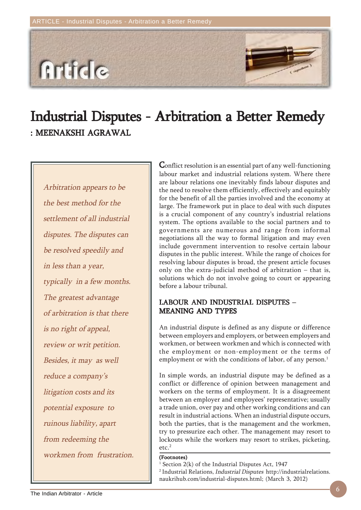**Article** 

# Industrial Disputes - Arbitration a Better Remedy : MEENAKSHI AGRAWAL

Arbitration appears to be the best method for the settlement of all industrial disputes. The disputes can be resolved speedily and in less than a year, typically in a few months. The greatest advantage of arbitration is that there is no right of appeal, review or writ petition. Besides, it may as well reduce a company's litigation costs and its potential exposure to ruinous liability, apart from redeeming the workmen from frustration. Conflict resolution is an essential part of any well-functioning labour market and industrial relations system. Where there are labour relations one inevitably finds labour disputes and the need to resolve them efficiently, effectively and equitably for the benefit of all the parties involved and the economy at large. The framework put in place to deal with such disputes is a crucial component of any country's industrial relations system. The options available to the social partners and to governments are numerous and range from informal negotiations all the way to formal litigation and may even include government intervention to resolve certain labour disputes in the public interest. While the range of choices for resolving labour disputes is broad, the present article focuses only on the extra-judicial method of arbitration – that is, solutions which do not involve going to court or appearing before a labour tribunal.

### LABOUR AND INDUSTRIAL DISPUTES – MEANING AND TYPES

An industrial dispute is defined as any dispute or difference between employers and employers, or between employers and workmen, or between workmen and which is connected with the employment or non-employment or the terms of employment or with the conditions of labor, of any person.<sup>1</sup>

In simple words, an industrial dispute may be defined as a conflict or difference of opinion between management and workers on the terms of employment. It is a disagreement between an employer and employees' representative; usually a trade union, over pay and other working conditions and can result in industrial actions. When an industrial dispute occurs, both the parties, that is the management and the workmen, try to pressurize each other. The management may resort to lockouts while the workers may resort to strikes, picketing,  $etc.<sup>2</sup>$ 

#### (Footnotes)

1 Section 2(k) of the Industrial Disputes Act, 1947

<sup>2</sup> Industrial Relations, *Industrial Disputes* http://industrialrelations. naukrihub.com/industrial-disputes.html; (March 3, 2012)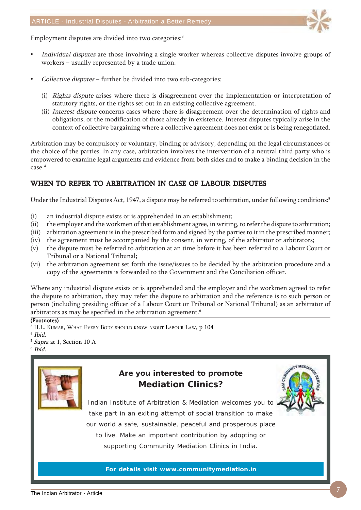

Employment disputes are divided into two categories:<sup>3</sup>

- Individual disputes are those involving a single worker whereas collective disputes involve groups of workers – usually represented by a trade union.
- Collective disputes further be divided into two sub-categories:
	- (i) Rights dispute arises where there is disagreement over the implementation or interpretation of statutory rights, or the rights set out in an existing collective agreement.
	- (ii) Interest dispute concerns cases where there is disagreement over the determination of rights and obligations, or the modification of those already in existence. Interest disputes typically arise in the context of collective bargaining where a collective agreement does not exist or is being renegotiated.

Arbitration may be compulsory or voluntary, binding or advisory, depending on the legal circumstances or the choice of the parties. In any case, arbitration involves the intervention of a neutral third party who is empowered to examine legal arguments and evidence from both sides and to make a binding decision in the case.4

### WHEN TO REFER TO ARBITRATION IN CASE OF LABOUR DISPUTES

Under the Industrial Disputes Act, 1947, a dispute may be referred to arbitration, under following conditions:<sup>5</sup>

- (i) an industrial dispute exists or is apprehended in an establishment;
- (ii) the employer and the workmen of that establishment agree, in writing, to refer the dispute to arbitration;
- (iii) arbitration agreement is in the prescribed form and signed by the parties to it in the prescribed manner;
- (iv) the agreement must be accompanied by the consent, in writing, of the arbitrator or arbitrators;
- (v) the dispute must be referred to arbitration at an time before it has been referred to a Labour Court or Tribunal or a National Tribunal;
- (vi) the arbitration agreement set forth the issue/issues to be decided by the arbitration procedure and a copy of the agreements is forwarded to the Government and the Conciliation officer.

Where any industrial dispute exists or is apprehended and the employer and the workmen agreed to refer the dispute to arbitration, they may refer the dispute to arbitration and the reference is to such person or person (including presiding officer of a Labour Court or Tribunal or National Tribunal) as an arbitrator of arbitrators as may be specified in the arbitration agreement.<sup>6</sup>

#### (Footnotes)

- <sup>3</sup> H.L. Kumar, What Every Body should know about Labour Law, p 104
- 4 Ibid.
- <sup>5</sup> Supra at 1, Section 10 A

 $6$  Ibid.



### **Are you interested to promote Mediation Clinics?**



Indian Institute of Arbitration & Mediation welcomes you to take part in an exiting attempt of social transition to make our world a safe, sustainable, peaceful and prosperous place to live. Make an important contribution by adopting or supporting Community Mediation Clinics in India.

**For details visit www.communitymediation.in**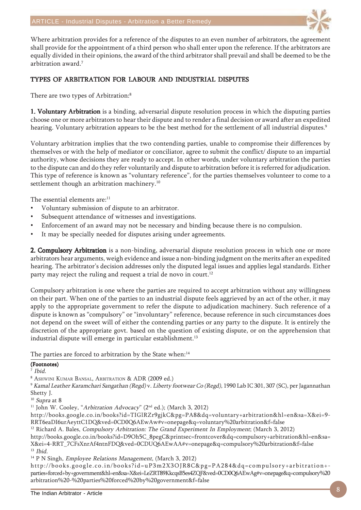

Where arbitration provides for a reference of the disputes to an even number of arbitrators, the agreement shall provide for the appointment of a third person who shall enter upon the reference. If the arbitrators are equally divided in their opinions, the award of the third arbitrator shall prevail and shall be deemed to be the arbitration award.7

#### TYPES OF ARBITRATION FOR LABOUR AND INDUSTRIAL DISPUTES

There are two types of Arbitration:<sup>8</sup>

1. Voluntary Arbitration is a binding, adversarial dispute resolution process in which the disputing parties choose one or more arbitrators to hear their dispute and to render a final decision or award after an expedited hearing. Voluntary arbitration appears to be the best method for the settlement of all industrial disputes.<sup>9</sup>

Voluntary arbitration implies that the two contending parties, unable to compromise their differences by themselves or with the help of mediator or conciliator, agree to submit the conflict/ dispute to an impartial authority, whose decisions they are ready to accept. In other words, under voluntary arbitration the parties to the dispute can and do they refer voluntarily and dispute to arbitration before it is referred for adjudication. This type of reference is known as "voluntary reference", for the parties themselves volunteer to come to a settlement though an arbitration machinery.<sup>10</sup>

The essential elements are:<sup>11</sup>

- Voluntary submission of dispute to an arbitrator.
- Subsequent attendance of witnesses and investigations.
- Enforcement of an award may not be necessary and binding because there is no compulsion.
- It may be specially needed for disputes arising under agreements.

2. Compulsory Arbitration is a non-binding, adversarial dispute resolution process in which one or more arbitrators hear arguments, weigh evidence and issue a non-binding judgment on the merits after an expedited hearing. The arbitrator's decision addresses only the disputed legal issues and applies legal standards. Either party may reject the ruling and request a trial de novo in court.<sup>12</sup>

Compulsory arbitration is one where the parties are required to accept arbitration without any willingness on their part. When one of the parties to an industrial dispute feels aggrieved by an act of the other, it may apply to the appropriate government to refer the dispute to adjudication machinery. Such reference of a dispute is known as "compulsory" or "involuntary" reference, because reference in such circumstances does not depend on the sweet will of either the contending parties or any party to the dispute. It is entirely the discretion of the appropriate govt. based on the question of existing dispute, or on the apprehension that industrial dispute will emerge in particular establishment.<sup>13</sup>

The parties are forced to arbitration by the State when:<sup>14</sup>

#### (Footnotes)

7 Ibid.

8 ASHWINI KUMAR BANSAL, ARBITRATION & ADR (2009 ed.)

<sup>9</sup> Kamal Leather Karamchari Sangathan (Regd) v. Liberty footwear Co (Regd), 1990 Lab IC 301, 307 (SC), per Jagannathan Shetty J.

 $10$  Supra at 8

<sup>11</sup> John W. Cooley, "Arbitration Advocacy" ( $2<sup>nd</sup>$  ed.); (March 3, 2012)

http://books.google.co.in/books?id=TIGlRZr9gjkC&pg=PA8&dq=voluntary+arbitration&hl=en&sa=X&ei=9- RRT6eaDI6urAeyttC1DQ&ved=0CD0Q6AEwAw#v=onepage&q=voluntary%20arbitration&f=false

<sup>12</sup> Richard A. Bales, Compulsory Arbitration: The Grand Experiment In Employment; (March 3, 2012)

http://books.google.co.in/books?id=D9Oh5C\_8pegC&printsec=frontcover&dq=compulsory+arbitration&hl=en&sa= X&ei=4-RRT\_7CFsXnrAf4ntnFDQ&ved=0CDUQ6AEwAA#v=onepage&q=compulsory%20arbitration&f=false  $13$  Ibid.

<sup>14</sup> P N Singh, *Employee Relations Management*, (March 3, 2012)

http://books.google.co.in/books?id=uP3m2X3OJR8C&pg=PA284&dq=compulsory+arbitration+ parties+forced+by+government&hl=en&sa=X&ei=LeZRT89KkcqsB5es4ZQF&ved=0CD0Q6AEwAg#v=onepage&q=compulsory%20 arbitration%20-%20parties%20forced%20by%20government&f=false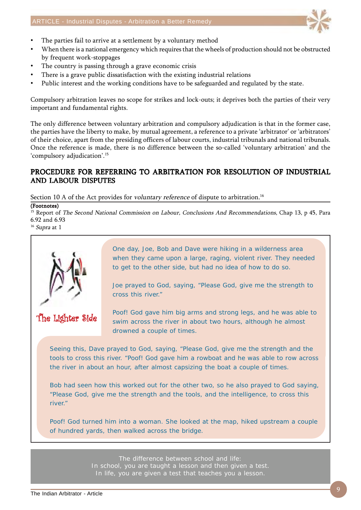

- The parties fail to arrive at a settlement by a voluntary method
- When there is a national emergency which requires that the wheels of production should not be obstructed by frequent work-stoppages
- The country is passing through a grave economic crisis
- There is a grave public dissatisfaction with the existing industrial relations
- Public interest and the working conditions have to be safeguarded and regulated by the state.

Compulsory arbitration leaves no scope for strikes and lock-outs; it deprives both the parties of their very important and fundamental rights.

The only difference between voluntary arbitration and compulsory adjudication is that in the former case, the parties have the liberty to make, by mutual agreement, a reference to a private 'arbitrator' or 'arbitrators' of their choice, apart from the presiding officers of labour courts, industrial tribunals and national tribunals. Once the reference is made, there is no difference between the so-called 'voluntary arbitration' and the 'compulsory adjudication'.15

#### PROCEDURE FOR REFERRING TO ARBITRATION FOR RESOLUTION OF INDUSTRIAL AND LABOUR DISPUTES

Section 10 A of the Act provides for *voluntary reference* of dispute to arbitration.<sup>16</sup>

(Footnotes)

<sup>15</sup> Report of The Second National Commission on Labour, Conclusions And Recommendations, Chap 13, p 45, Para 6.92 and 6.93

 $^{16}$  Supra at  $1\,$ 



The Lighter Side

One day, Joe, Bob and Dave were hiking in a wilderness area when they came upon a large, raging, violent river. They needed to get to the other side, but had no idea of how to do so.

Joe prayed to God, saying, "Please God, give me the strength to cross this river."

Poof! God gave him big arms and strong legs, and he was able to swim across the river in about two hours, although he almost drowned a couple of times.

Seeing this, Dave prayed to God, saying, "Please God, give me the strength and the tools to cross this river. "Poof! God gave him a rowboat and he was able to row across the river in about an hour, after almost capsizing the boat a couple of times.

Bob had seen how this worked out for the other two, so he also prayed to God saying, "Please God, give me the strength and the tools, and the intelligence, to cross this river."

Poof! God turned him into a woman. She looked at the map, hiked upstream a couple of hundred yards, then walked across the bridge.

> The difference between school and life: In school, you are taught a lesson and then given a test. In life, you are given a test that teaches you a lesson.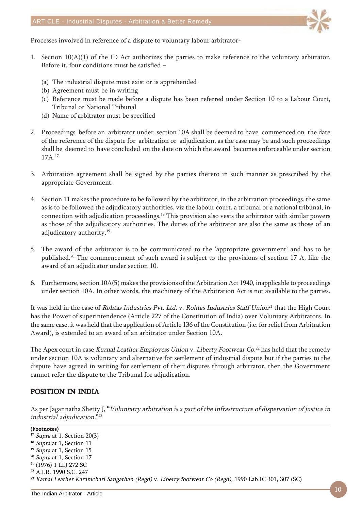

Processes involved in reference of a dispute to voluntary labour arbitrator-

- 1. Section 10(A)(1) of the ID Act authorizes the parties to make reference to the voluntary arbitrator. Before it, four conditions must be satisfied –
	- (a) The industrial dispute must exist or is apprehended
	- (b) Agreement must be in writing
	- (c) Reference must be made before a dispute has been referred under Section 10 to a Labour Court, Tribunal or National Tribunal
	- (d) Name of arbitrator must be specified
- 2. Proceedings before an arbitrator under section 10A shall be deemed to have commenced on the date of the reference of the dispute for arbitration or adjudication, as the case may be and such proceedings shall be deemed to have concluded on the date on which the award becomes enforceable under section 17A.17
- 3. Arbitration agreement shall be signed by the parties thereto in such manner as prescribed by the appropriate Government.
- 4. Section 11 makes the procedure to be followed by the arbitrator, in the arbitration proceedings, the same as is to be followed the adjudicatory authorities, viz the labour court, a tribunal or a national tribunal, in connection with adjudication proceedings.18 This provision also vests the arbitrator with similar powers as those of the adjudicatory authorities. The duties of the arbitrator are also the same as those of an adjudicatory authority.<sup>19</sup>
- 5. The award of the arbitrator is to be communicated to the 'appropriate government' and has to be published.20 The commencement of such award is subject to the provisions of section 17 A, like the award of an adjudicator under section 10.
- 6. Furthermore, section 10A(5) makes the provisions of the Arbitration Act 1940, inapplicable to proceedings under section 10A. In other words, the machinery of the Arbitration Act is not available to the parties.

It was held in the case of Rohtas Industries Pvt. Ltd. v. Rohtas Industries Staff Union<sup>21</sup> that the High Court has the Power of superintendence (Article 227 of the Constitution of India) over Voluntary Arbitrators. In the same case, it was held that the application of Article 136 of the Constitution (i.e. for relief from Arbitration Award), is extended to an award of an arbitrator under Section 10A.

The Apex court in case *Kurnal Leather Employess Union* v. *Liberty Footwear Co*.<sup>22</sup> has held that the remedy under section 10A is voluntary and alternative for settlement of industrial dispute but if the parties to the dispute have agreed in writing for settlement of their disputes through arbitrator, then the Government cannot refer the dispute to the Tribunal for adjudication.

#### POSITION IN INDIA

As per Jagannatha Shetty J, "Voluntatry arbitration is a part of the infrastructure of dispensation of justice in industrial adjudication."23

(Footnotes)

<sup>19</sup> Supra at 1, Section 15

21 (1976) 1 LLJ 272 SC

<sup>23</sup> Kamal Leather Karamchari Sangathan (Regd) v. Liberty footwear Co (Regd), 1990 Lab IC 301, 307 (SC)

 $17$  Supra at 1, Section 20(3)

<sup>&</sup>lt;sup>18</sup> Supra at 1, Section 11

<sup>&</sup>lt;sup>20</sup> Supra at 1, Section 17

<sup>22</sup> A.I.R. 1990 S.C. 247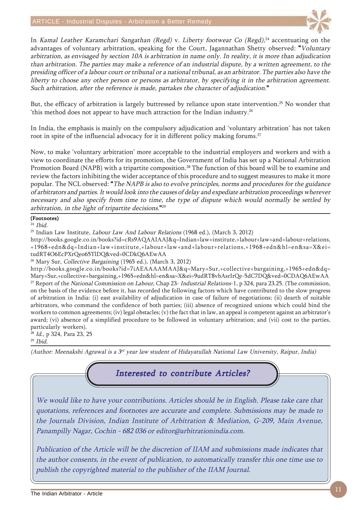

In Kamal Leather Karamchari Sangathan (Regd) v. Liberty footwear Co (Regd), $^{24}$  accentuating on the advantages of voluntary arbitration, speaking for the Court, Jagannathan Shetty observed: "Voluntary arbitration, as envisaged by section 10A is arbitration in name only. In reality, it is more than adjudication than arbitration. The parties may make a reference of an industrial dispute, by a written agreement, to the presiding officer of a labour court or tribunal or a national tribunal, as an arbitrator. The parties also have the liberty to choose any other person or persons as arbitrator, by specifying it in the arbitration agreement. Such arbitration, after the reference is made, partakes the character of adjudication."

But, the efficacy of arbitration is largely buttressed by reliance upon state intervention.<sup>25</sup> No wonder that 'this method does not appear to have much attraction for the Indian industry.<sup>26</sup>

In India, the emphasis is mainly on the compulsory adjudication and 'voluntary arbitration' has not taken root in spite of the influencial advocacy for it in different policy making forums.<sup>27</sup>

Now, to make 'voluntary arbitration' more acceptable to the industrial employers and workers and with a view to coordinate the efforts for its promotion, the Government of India has set up a National Arbitration Promotion Board (NAPB) with a tripartite composition.<sup>28</sup> The function of this board will be to examine and review the factors inhibiting the wider acceptance of this procedure and to suggest measures to make it more popular. The NCL observed: "The NAPB is also to evolve principles, norms and procedures for the guidance of arbitrators and parties. It would look into the causes of delay and expediate arbitration proceedings wherever necessary and also specify from time to time, the type of dispute which would normally be settled by arbitration, in the light of tripartite decisions."29

#### (Footnotes)

 $24$  Ibid.

```
<sup>25</sup> Indian Law Institute, Labour Law And Labour Relations (1968 ed.), (March 3, 2012)
```
http://books.google.co.in/books?id=cRs9AQAAIAAJ&q=Indian+law+institute,+labour+law+and+labour+relations, +1968+edn&dq=Indian+law+institute,+labour+law+and+labour+relations,+1968+edn&hl=en&sa=X&ei= tudRT4O6EcPXrQeo65TlDQ&ved=0CDkQ6AEwAA

<sup>26</sup> Mary Sur, *Collective Bargaining* (1965 ed.), (March 3, 2012)

http://books.google.co.in/books?id=7iAEAAAAMAAJ&q=Mary+Sur,+collective+bargaining,+1965+edn&dq= Mary+Sur,+collective+bargaining,+1965+edn&hl=en&sa=X&ei=9udRT8vbAsrIrQe-5dC7DQ&ved=0CDAQ6AEwAA <sup>27</sup> Report of the *National Commission on Labour*, Chap 23- *Industrial Relations*-1, p 324, para 23.25. (The commission, on the basis of the evidence before it, has recorded the following factors which have contributed to the slow progress of arbitration in India: (i) east availability of adjudication in case of failure of negotiations; (ii) dearth of suitable arbitrators, who command the confidence of both parties; (iii) absence of recognized unions which could bind the workers to common agreements; (iv) legal obstacles; (v) the fact that in law, an appeal is competent against an arbitrator's award; (vi) absence of a simplified procedure to be followed in voluntary arbitration; and (vii) cost to the parties, particularly workers).

<sup>28</sup> Id., p 324, Para 23, 25

 $29$  Ibid.

(Author: Meenakshi Agrawal is a  $3<sup>rd</sup>$  year law student of Hidayatullah National Law University, Raipur, India)

### Interested to contribute Articles?

We would like to have your contributions. Articles should be in English. Please take care that quotations, references and footnotes are accurate and complete. Submissions may be made to the Journals Division, Indian Institute of Arbitration & Mediation, G-209, Main Avenue, Panampilly Nagar, Cochin - 682 036 or editor@arbitrationindia.com.

Publication of the Article will be the discretion of IIAM and submissions made indicates that the author consents, in the event of publication, to automatically transfer this one time use to publish the copyrighted material to the publisher of the IIAM Journal.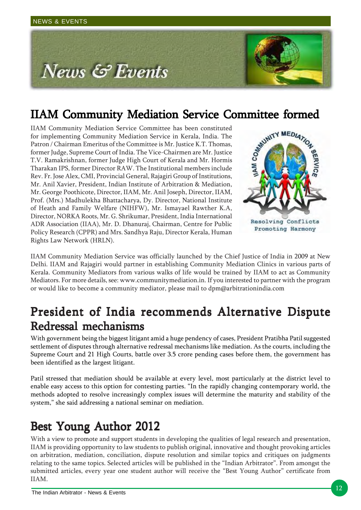

**IIAM Community Mediation Service Committee formed**<br>
IIAM Community Mediation Service Committee has been constituted<br>
for implementing Community Mediation Service in Kerala, India. The<br>
Patron / Chairman Emeritus of the C IIAM Community Mediation Service Committee has been constituted for implementing Community Mediation Service in Kerala, India. The Patron / Chairman Emeritus of the Committee is Mr. Justice K.T. Thomas, former Judge, Supreme Court of India. The Vice-Chairmen are Mr. Justice T.V. Ramakrishnan, former Judge High Court of Kerala and Mr. Hormis Tharakan IPS, former Director RAW. The Institutional members include Rev. Fr. Jose Alex, CMI, Provincial General, Rajagiri Group of Institutions, Mr. Anil Xavier, President, Indian Institute of Arbitration & Mediation, Mr. George Poothicote, Director, IIAM, Mr. Anil Joseph, Director, IIAM, Prof. (Mrs.) Madhulekha Bhattacharya, Dy. Director, National Institute of Heath and Family Welfare (NIHFW), Mr. Ismayael Rawther K.A, Director, NORKA Roots, Mr. G. Shrikumar, President, India International ADR Association (IIAA), Mr. D. Dhanuraj, Chairman, Centre for Public Policy Research (CPPR) and Mrs. Sandhya Raju, Director Kerala, Human Rights Law Network (HRLN).



IIAM Community Mediation Service was officially launched by the Chief Justice of India in 2009 at New Delhi. IIAM and Rajagiri would partner in establishing Community Mediation Clinics in various parts of Kerala. Community Mediators from various walks of life would be trained by IIAM to act as Community Mediators. For more details, see: www.communitymediation.in. If you interested to partner with the program or would like to become a community mediator, please mail to dpm@arbitrationindia.com

# President of India recommends Alternative Dispute Redressal mechanisms

With government being the biggest litigant amid a huge pendency of cases, President Pratibha Patil suggested settlement of disputes through alternative redressal mechanisms like mediation. As the courts, including the Supreme Court and 21 High Courts, battle over 3.5 crore pending cases before them, the government has been identified as the largest litigant.

Patil stressed that mediation should be available at every level, most particularly at the district level to enable easy access to this option for contesting parties. "In the rapidly changing contemporary world, the methods adopted to resolve increasingly complex issues will determine the maturity and stability of the system," she said addressing a national seminar on mediation.

# Best Young Author 2012

With a view to promote and support students in developing the qualities of legal research and presentation, IIAM is providing opportunity to law students to publish original, innovative and thought provoking articles on arbitration, mediation, conciliation, dispute resolution and similar topics and critiques on judgments relating to the same topics. Selected articles will be published in the "Indian Arbitrator". From amongst the submitted articles, every year one student author will receive the "Best Young Author" certificate from IIAM.